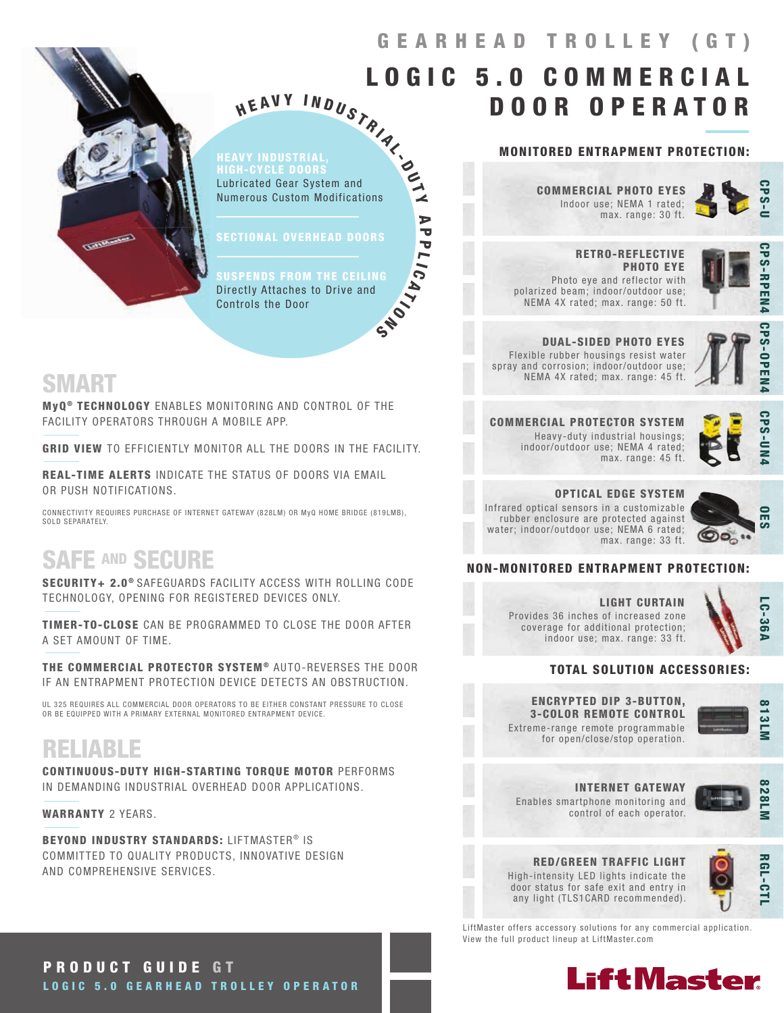

## HEAVY INDUSTRIAL HIGH-CYCLE DOORS<br>Lubricated Gear System and HEAVY INDUSTRIAL<br>HIGH-CYCLE DOORS Lubricated Gear System and Numerous Custom Modifications

 $\blacktriangle$ A  $\overline{\mathbf{v}}$  $\overline{\mathbf{v}}$  $\blacksquare$  $\ddot{\bullet}$ 

SECTIONAL OVERHEAD DOORS

**GND** SUSPENDS FROM THE CEILING Directly Attaches to Drive and Controls the Door

## SMART

MyQ<sup>®</sup> TECHNOLOGY ENABLES MONITORING AND CONTROL OF THE FACILITY OPERATORS THROUGH A MOBILE APP.

GRID VIEW TO EFFICIENTLY MONITOR ALL THE DOORS IN THE FACILITY.

REAL-TIME ALERTS INDICATE THE STATUS OF DOORS VIA EMAIL OR PUSH NOTIFICATIONS.

CONNECTIVITY REQUIRES PURCHASE OF INTERNET GATEWAY (828LM) OR MyQ HOME BRIDGE (819LMB), SOLD SEPARATELY

## SAFE AND SECURE

SECURITY+ 2.0<sup>®</sup> SAFEGUARDS FACILITY ACCESS WITH ROLLING CODE TECHNOLOGY, OPENING FOR REGISTERED DEVICES ONLY.

TIMER-TO-CLOSE CAN BE PROGRAMMED TO CLOSE THE DOOR AFTER A SET AMOUNT OF TIME.

THE COMMERCIAL PROTECTOR SYSTEM® AUTO-REVERSES THE DOOR IF AN ENTRAPMENT PROTECTION DEVICE DETECTS AN OBSTRUCTION.

UL 325 REQUIRES ALL COMMERCIAL DOOR OPERATORS TO BE EITHER CONSTANT PRESSURE TO CLOSE OR BE EQUIPPED WITH A PRIMARY EXTERNAL MONITORED ENTRAPMENT DEVICE.

## RELIABLE

CONTINUOUS-DUTY HIGH-STARTING TORQUE MOTOR PERFORMS IN DEMANDING INDUSTRIAL OVERHEAD DOOR APPLICATIONS.

WARRANTY 2 YEARS.

BEYOND INDUSTRY STANDARDS: LIFTMASTER® IS COMMITTED TO QUALITY PRODUCTS, INNOVATIVE DESIGN AND COMPREHENSIVE SERVICES.

## MONITORED ENTRAPMENT PROTECTION:

DOOR OPERATOR

Indoor use; NEMA 1 rated; max. range: 30 ft. COMMERCIAL PHOTO EYES

8 3 5 5 W GEARHEAD TROLLEY (GT)

LOGIC 5.0 COMMERCIAL



 RETRO-REFLECTIVE PHOTO EYE Photo eye and reflector with polarized beam; indoor/outdoor use; NEMA 4X rated; max. range: 50 ft.



DUAL-SIDED PHOTO EYES Flexible rubber housings resist water spray and corrosion; indoor/outdoor use; NEMA 4X rated; max. range: 45 ft.



**CPS-OPEN** 

**CPS-UN** 

COMMERCIAL PROTECTOR SYSTEM Heavy-duty industrial housings; indoor/outdoor use; NEMA 4 rated; max. range: 45 ft.

OPTICAL EDGE SYSTEM Infrared optical sensors in a customizable rubber enclosure are protected against water; indoor/outdoor use; NEMA 6 rated; max. range: 33 ft.



### NON-MONITORED ENTRAPMENT PROTECTION:

LIGHT CURTAIN Provides 36 inches of increased zone coverage for additional protection; indoor use; max. range: 33 ft.



### TOTAL SOLUTION ACCESSORIES:

ENCRYPTED DIP 3-BUTTON, 3-COLOR REMOTE CONTROL Extreme-range remote programmable

for open/close/stop operation.



INTERNET GATEWAY



Enables smartphone monitoring and control of each operator.

RED/GREEN TRAFFIC LIGHT High-intensity LED lights indicate the door status for safe exit and entry in any light (TLS1CARD recommended).



LiftMaster offers accessory solutions for any commercial application. View the full product lineup at LiftMaster.com



PRODUCT GUIDE GT LOGIC 5.0 GEARHEAD TROLLEY OPERATOR